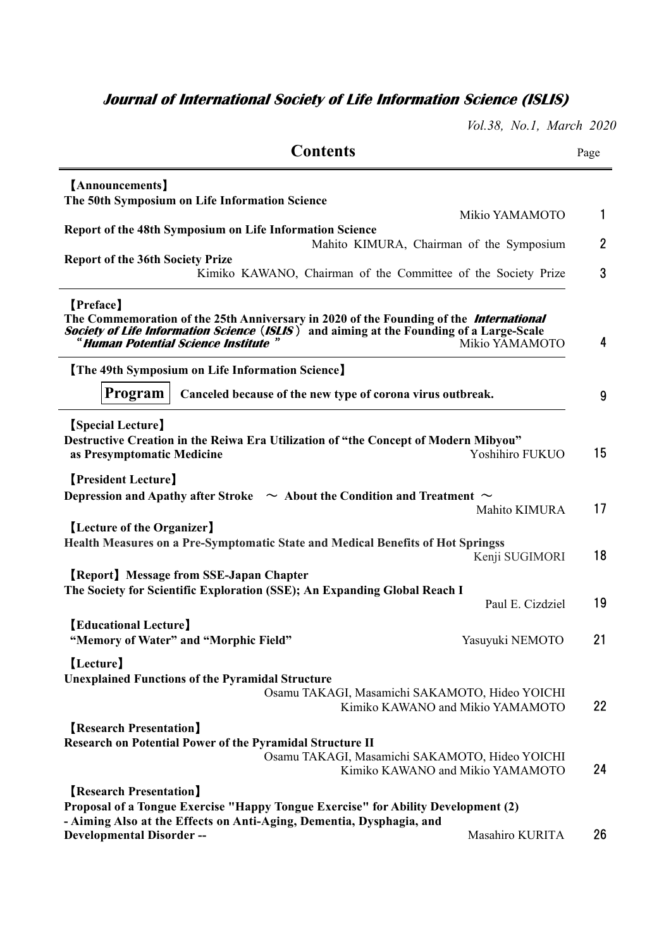## **Journal of International Society of Life Information Science (ISLIS)**

*Vol.38, No.1, March 2020* 

| <b>Contents</b>                                                                                                                                                                                                                                                                             | Page           |
|---------------------------------------------------------------------------------------------------------------------------------------------------------------------------------------------------------------------------------------------------------------------------------------------|----------------|
| [Announcements]<br>The 50th Symposium on Life Information Science                                                                                                                                                                                                                           |                |
| Mikio YAMAMOTO<br>Report of the 48th Symposium on Life Information Science                                                                                                                                                                                                                  | 1              |
| Mahito KIMURA, Chairman of the Symposium                                                                                                                                                                                                                                                    | $\overline{2}$ |
| <b>Report of the 36th Society Prize</b><br>Kimiko KAWANO, Chairman of the Committee of the Society Prize                                                                                                                                                                                    | 3              |
| [Preface]<br>The Commemoration of the 25th Anniversary in 2020 of the Founding of the <i>International</i><br><b>Society of Life Information Science (ISLIS)</b> and aiming at the Founding of a Large-Scale<br>" <b>Human Potential Science Institute</b> " Mikio YAMAMC<br>Mikio YAMAMOTO | 4              |
| <b>The 49th Symposium on Life Information Science</b>                                                                                                                                                                                                                                       |                |
| Program<br>Canceled because of the new type of corona virus outbreak.                                                                                                                                                                                                                       | 9              |
| <b>[Special Lecture]</b><br>Destructive Creation in the Reiwa Era Utilization of "the Concept of Modern Mibyou"<br>Yoshihiro FUKUO<br>as Presymptomatic Medicine                                                                                                                            | 15             |
| <b>[President Lecture]</b><br>Depression and Apathy after Stroke $\sim$ About the Condition and Treatment $\sim$<br>Mahito KIMURA                                                                                                                                                           | 17             |
| [Lecture of the Organizer]<br><b>Health Measures on a Pre-Symptomatic State and Medical Benefits of Hot Springss</b><br>Kenji SUGIMORI                                                                                                                                                      | 18             |
| <b>[Report] Message from SSE-Japan Chapter</b><br>The Society for Scientific Exploration (SSE); An Expanding Global Reach I<br>Paul E. Cizdziel                                                                                                                                             | 19             |
| <b>[Educational Lecture]</b><br>"Memory of Water" and "Morphic Field"<br>Yasuyuki NEMOTO                                                                                                                                                                                                    | 21             |
| [Lecture]<br><b>Unexplained Functions of the Pyramidal Structure</b>                                                                                                                                                                                                                        |                |
| Osamu TAKAGI, Masamichi SAKAMOTO, Hideo YOICHI<br>Kimiko KAWANO and Mikio YAMAMOTO                                                                                                                                                                                                          | 22             |
| <b>Research Presentation</b><br><b>Research on Potential Power of the Pyramidal Structure II</b><br>Osamu TAKAGI, Masamichi SAKAMOTO, Hideo YOICHI<br>Kimiko KAWANO and Mikio YAMAMOTO                                                                                                      | 24             |
| <b>Research Presentation</b><br>Proposal of a Tongue Exercise "Happy Tongue Exercise" for Ability Development (2)                                                                                                                                                                           |                |
| - Aiming Also at the Effects on Anti-Aging, Dementia, Dysphagia, and<br>Masahiro KURITA<br><b>Developmental Disorder --</b>                                                                                                                                                                 | 26             |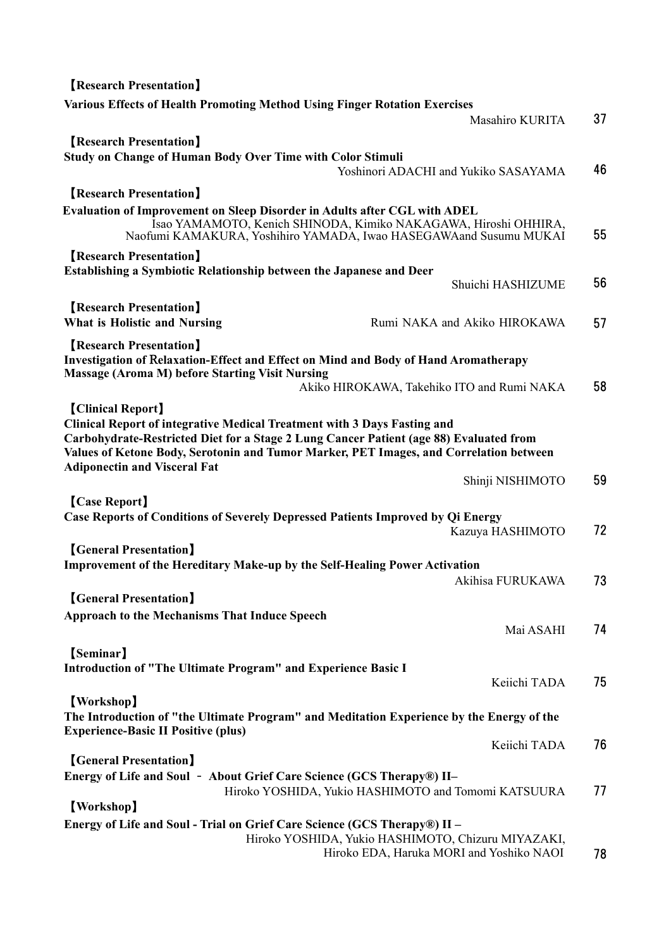| <b>Research Presentation</b>                                                                                                                                              |                                                                 |    |
|---------------------------------------------------------------------------------------------------------------------------------------------------------------------------|-----------------------------------------------------------------|----|
| <b>Various Effects of Health Promoting Method Using Finger Rotation Exercises</b>                                                                                         |                                                                 |    |
|                                                                                                                                                                           | Masahiro KURITA                                                 | 37 |
| <b>Research Presentation</b>                                                                                                                                              |                                                                 |    |
| <b>Study on Change of Human Body Over Time with Color Stimuli</b>                                                                                                         |                                                                 |    |
|                                                                                                                                                                           | Yoshinori ADACHI and Yukiko SASAYAMA                            | 46 |
| <b>[Research Presentation]</b>                                                                                                                                            |                                                                 |    |
| Evaluation of Improvement on Sleep Disorder in Adults after CGL with ADEL                                                                                                 |                                                                 |    |
| Naofumi KAMAKURA, Yoshihiro YAMADA, Iwao HASEGAWAand Susumu MUKAI                                                                                                         | Isao YAMAMOTO, Kenich SHINODA, Kimiko NAKAGAWA, Hiroshi OHHIRA, | 55 |
| <b>Research Presentation</b>                                                                                                                                              |                                                                 |    |
| Establishing a Symbiotic Relationship between the Japanese and Deer                                                                                                       |                                                                 |    |
|                                                                                                                                                                           | Shuichi HASHIZUME                                               | 56 |
| <b>[Research Presentation]</b>                                                                                                                                            |                                                                 |    |
| What is Holistic and Nursing                                                                                                                                              | Rumi NAKA and Akiko HIROKAWA                                    | 57 |
| <b>[Research Presentation]</b>                                                                                                                                            |                                                                 |    |
| Investigation of Relaxation-Effect and Effect on Mind and Body of Hand Aromatherapy                                                                                       |                                                                 |    |
| <b>Massage (Aroma M) before Starting Visit Nursing</b>                                                                                                                    |                                                                 | 58 |
|                                                                                                                                                                           | Akiko HIROKAWA, Takehiko ITO and Rumi NAKA                      |    |
| [Clinical Report]                                                                                                                                                         |                                                                 |    |
| <b>Clinical Report of integrative Medical Treatment with 3 Days Fasting and</b><br>Carbohydrate-Restricted Diet for a Stage 2 Lung Cancer Patient (age 88) Evaluated from |                                                                 |    |
| Values of Ketone Body, Serotonin and Tumor Marker, PET Images, and Correlation between                                                                                    |                                                                 |    |
| <b>Adiponectin and Visceral Fat</b>                                                                                                                                       |                                                                 |    |
|                                                                                                                                                                           | Shinji NISHIMOTO                                                | 59 |
| [Case Report]                                                                                                                                                             |                                                                 |    |
| <b>Case Reports of Conditions of Severely Depressed Patients Improved by Qi Energy</b>                                                                                    |                                                                 |    |
|                                                                                                                                                                           | Kazuya HASHIMOTO                                                | 72 |
| <b>[General Presentation]</b>                                                                                                                                             |                                                                 |    |
| Improvement of the Hereditary Make-up by the Self-Healing Power Activation                                                                                                |                                                                 |    |
|                                                                                                                                                                           | Akihisa FURUKAWA                                                | 73 |
| <b>(General Presentation)</b>                                                                                                                                             |                                                                 |    |
| <b>Approach to the Mechanisms That Induce Speech</b>                                                                                                                      | Mai ASAHI                                                       | 74 |
|                                                                                                                                                                           |                                                                 |    |
| [Seminar]                                                                                                                                                                 |                                                                 |    |
| <b>Introduction of "The Ultimate Program" and Experience Basic I</b>                                                                                                      | Keiichi TADA                                                    | 75 |
| [Workshop]                                                                                                                                                                |                                                                 |    |
| The Introduction of "the Ultimate Program" and Meditation Experience by the Energy of the                                                                                 |                                                                 |    |
| <b>Experience-Basic II Positive (plus)</b>                                                                                                                                |                                                                 |    |
|                                                                                                                                                                           | Keiichi TADA                                                    | 76 |
| <b>(General Presentation)</b>                                                                                                                                             |                                                                 |    |
| Energy of Life and Soul - About Grief Care Science (GCS Therapy®) II-                                                                                                     |                                                                 |    |
| [Workshop]                                                                                                                                                                | Hiroko YOSHIDA, Yukio HASHIMOTO and Tomomi KATSUURA             | 77 |
|                                                                                                                                                                           |                                                                 |    |
| Energy of Life and Soul - Trial on Grief Care Science (GCS Therapy®) II -                                                                                                 | Hiroko YOSHIDA, Yukio HASHIMOTO, Chizuru MIYAZAKI,              |    |
|                                                                                                                                                                           | Hiroko EDA, Haruka MORI and Yoshiko NAOI                        | 78 |
|                                                                                                                                                                           |                                                                 |    |